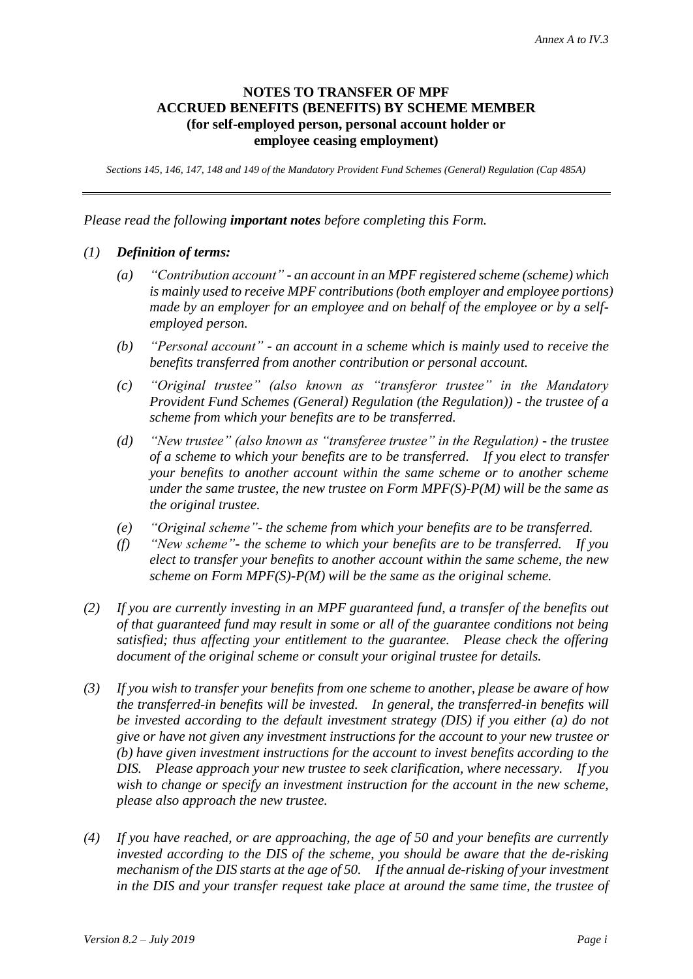# **NOTES TO TRANSFER OF MPF ACCRUED BENEFITS (BENEFITS) BY SCHEME MEMBER (for self-employed person, personal account holder or employee ceasing employment)**

*Sections 145, 146, 147, 148 and 149 of the Mandatory Provident Fund Schemes (General) Regulation (Cap 485A)*

*Please read the following important notes before completing this Form.*

# *(1) Definition of terms:*

- *(a) "Contribution account" - an account in an MPF registered scheme (scheme) which is mainly used to receive MPF contributions (both employer and employee portions) made by an employer for an employee and on behalf of the employee or by a selfemployed person.*
- *(b) "Personal account" - an account in a scheme which is mainly used to receive the benefits transferred from another contribution or personal account.*
- *(c) "Original trustee" (also known as "transferor trustee" in the Mandatory Provident Fund Schemes (General) Regulation (the Regulation)) - the trustee of a scheme from which your benefits are to be transferred.*
- *(d) "New trustee" (also known as "transferee trustee" in the Regulation) - the trustee of a scheme to which your benefits are to be transferred. If you elect to transfer your benefits to another account within the same scheme or to another scheme under the same trustee, the new trustee on Form MPF(S)-P(M) will be the same as the original trustee.*
- *(e) "Original scheme"- the scheme from which your benefits are to be transferred.*
- *(f) "New scheme"- the scheme to which your benefits are to be transferred. If you elect to transfer your benefits to another account within the same scheme, the new scheme on Form MPF(S)-P(M) will be the same as the original scheme.*
- *(2) If you are currently investing in an MPF guaranteed fund, a transfer of the benefits out of that guaranteed fund may result in some or all of the guarantee conditions not being satisfied; thus affecting your entitlement to the guarantee. Please check the offering document of the original scheme or consult your original trustee for details.*
- *(3) If you wish to transfer your benefits from one scheme to another, please be aware of how the transferred-in benefits will be invested. In general, the transferred-in benefits will be invested according to the default investment strategy (DIS) if you either (a) do not give or have not given any investment instructions for the account to your new trustee or (b) have given investment instructions for the account to invest benefits according to the DIS. Please approach your new trustee to seek clarification, where necessary. If you wish to change or specify an investment instruction for the account in the new scheme, please also approach the new trustee.*
- *(4) If you have reached, or are approaching, the age of 50 and your benefits are currently invested according to the DIS of the scheme, you should be aware that the de-risking mechanism of the DIS starts at the age of 50. If the annual de-risking of your investment in the DIS and your transfer request take place at around the same time, the trustee of*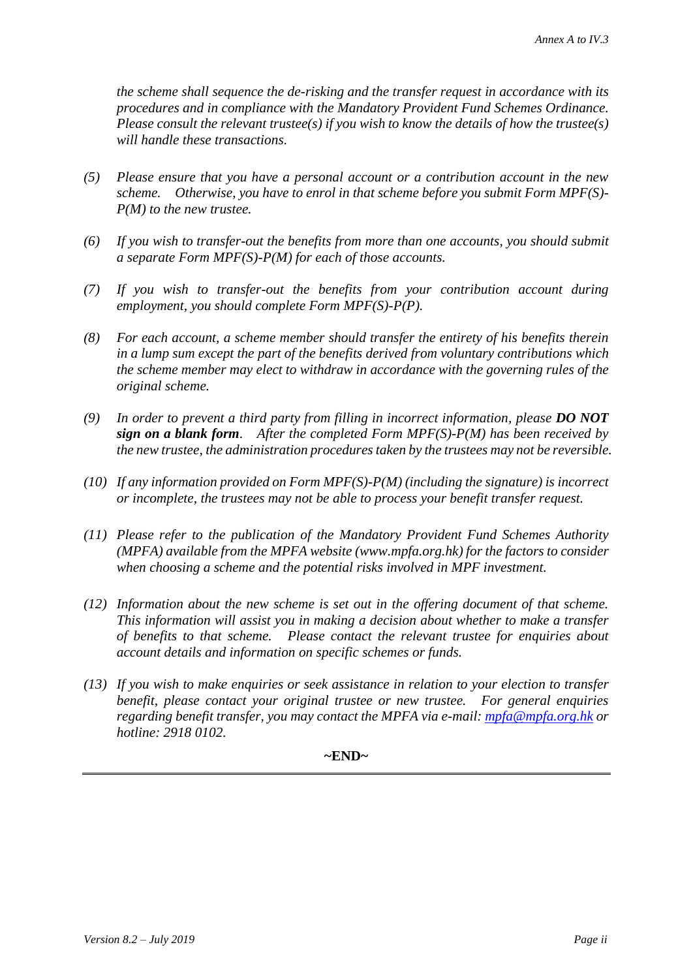*the scheme shall sequence the de-risking and the transfer request in accordance with its procedures and in compliance with the Mandatory Provident Fund Schemes Ordinance. Please consult the relevant trustee(s) if you wish to know the details of how the trustee(s) will handle these transactions.*

- *(5) Please ensure that you have a personal account or a contribution account in the new scheme. Otherwise, you have to enrol in that scheme before you submit Form MPF(S)- P(M) to the new trustee.*
- *(6) If you wish to transfer-out the benefits from more than one accounts, you should submit a separate Form MPF(S)-P(M) for each of those accounts.*
- *(7) If you wish to transfer-out the benefits from your contribution account during employment, you should complete Form MPF(S)-P(P).*
- *(8) For each account, a scheme member should transfer the entirety of his benefits therein in a lump sum except the part of the benefits derived from voluntary contributions which the scheme member may elect to withdraw in accordance with the governing rules of the original scheme.*
- *(9) In order to prevent a third party from filling in incorrect information, please DO NOT sign on a blank form. After the completed Form MPF(S)-P(M) has been received by the new trustee, the administration procedures taken by the trustees may not be reversible.*
- *(10) If any information provided on Form MPF(S)-P(M) (including the signature) is incorrect or incomplete, the trustees may not be able to process your benefit transfer request.*
- *(11) Please refer to the publication of the Mandatory Provident Fund Schemes Authority (MPFA) available from the MPFA website (www.mpfa.org.hk) for the factors to consider when choosing a scheme and the potential risks involved in MPF investment.*
- *(12) Information about the new scheme is set out in the offering document of that scheme. This information will assist you in making a decision about whether to make a transfer of benefits to that scheme. Please contact the relevant trustee for enquiries about account details and information on specific schemes or funds.*
- *(13) If you wish to make enquiries or seek assistance in relation to your election to transfer benefit, please contact your original trustee or new trustee. For general enquiries regarding benefit transfer, you may contact the MPFA via e-mail: [mpfa@mpfa.org.hk](mailto:mpfa@mpfa.org.hk) or hotline: 2918 0102.*

### **~END~**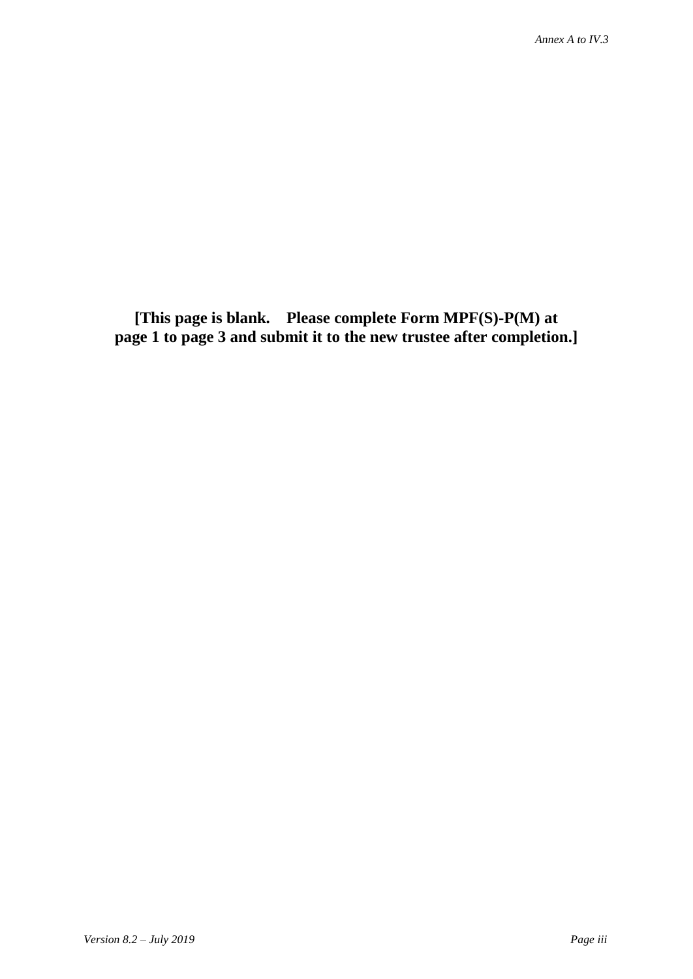**[This page is blank. Please complete Form MPF(S)-P(M) at page 1 to page 3 and submit it to the new trustee after completion.]**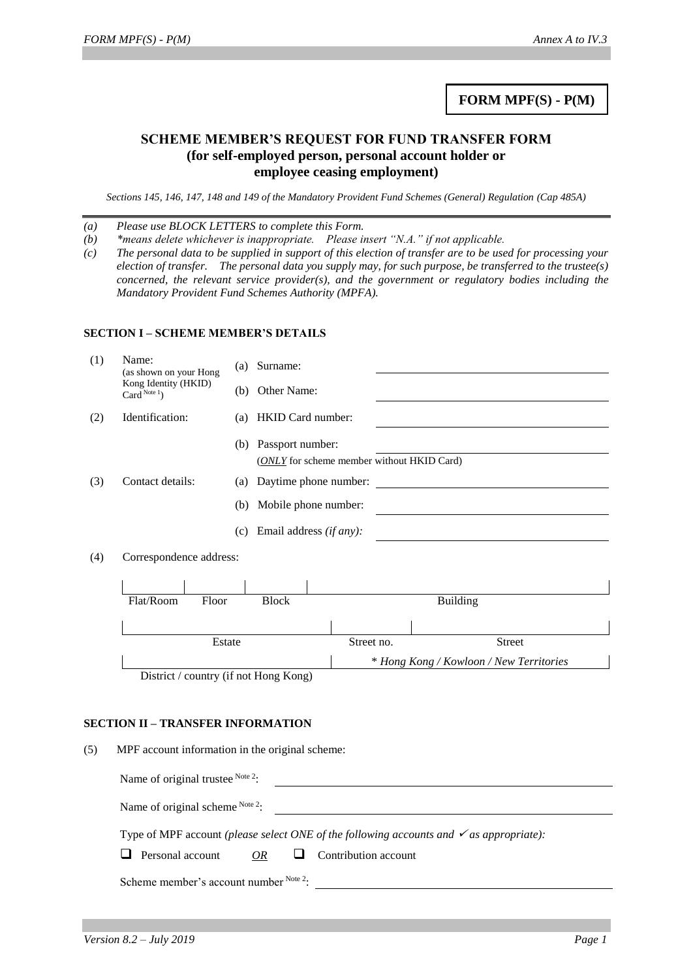# **FORM MPF(S) - P(M)**

## **SCHEME MEMBER'S REQUEST FOR FUND TRANSFER FORM (for self-employed person, personal account holder or employee ceasing employment)**

*Sections 145, 146, 147, 148 and 149 of the Mandatory Provident Fund Schemes (General) Regulation (Cap 485A)*

*(a) Please use BLOCK LETTERS to complete this Form.*

*(b) \*means delete whichever is inappropriate. Please insert "N.A." if not applicable.*

*(c) The personal data to be supplied in support of this election of transfer are to be used for processing your election of transfer. The personal data you supply may, for such purpose, be transferred to the trustee(s) concerned, the relevant service provider(s), and the government or regulatory bodies including the Mandatory Provident Fund Schemes Authority (MPFA).*

#### **SECTION I – SCHEME MEMBER'S DETAILS**

| (1) | Name:<br>(as shown on your Hong        |        | Surname:<br>(a)                       |                                                    |                                         |  |  |
|-----|----------------------------------------|--------|---------------------------------------|----------------------------------------------------|-----------------------------------------|--|--|
|     | Kong Identity (HKID)<br>Card $Note 1)$ |        | Other Name:<br>(b)                    |                                                    |                                         |  |  |
| (2) | Identification:                        |        | <b>HKID</b> Card number:<br>(a)       |                                                    |                                         |  |  |
|     |                                        |        | (b) Passport number:                  |                                                    |                                         |  |  |
|     |                                        |        |                                       | ( <i>ONLY</i> for scheme member without HKID Card) |                                         |  |  |
| (3) | Contact details:                       |        | (a)                                   | Daytime phone number:                              |                                         |  |  |
|     |                                        |        | (b)                                   | Mobile phone number:                               |                                         |  |  |
|     |                                        |        | (c) Email address $(if any)$ :        |                                                    |                                         |  |  |
| (4) | Correspondence address:                |        |                                       |                                                    |                                         |  |  |
|     |                                        |        |                                       |                                                    |                                         |  |  |
|     | Flat/Room                              | Floor  | <b>Block</b>                          |                                                    | <b>Building</b>                         |  |  |
|     |                                        |        |                                       |                                                    |                                         |  |  |
|     |                                        | Estate |                                       | Street no.                                         | <b>Street</b>                           |  |  |
|     |                                        |        |                                       |                                                    | * Hong Kong / Kowloon / New Territories |  |  |
|     |                                        |        | District / country (if not Hong Kong) |                                                    |                                         |  |  |

#### **SECTION II – TRANSFER INFORMATION**

(5) MPF account information in the original scheme:

| Name of original scheme $Note 2$ .                                                                 |  |
|----------------------------------------------------------------------------------------------------|--|
| Type of MPF account (please select ONE of the following accounts and $\checkmark$ as appropriate): |  |

 $\Box$  Personal account *OR*  $\Box$  Contribution account

Scheme member's account number Note 2: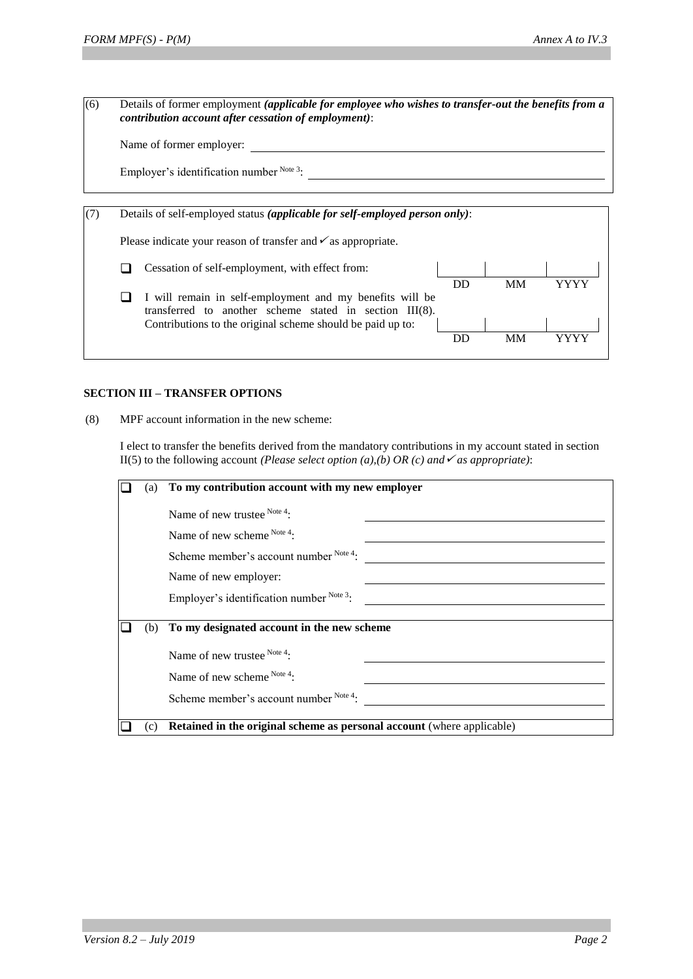(6) Details of former employment *(applicable for employee who wishes to transfer-out the benefits from a contribution account after cessation of employment)*:  $N$ <sub>ame</sub> of former employed

|  | Name of former employer: |  |  |
|--|--------------------------|--|--|
|  |                          |  |  |

Employer's identification number  $N^{ote 3}$ :

| Details of self-employed status (applicable for self-employed person only): |                                                                                                                                                                                      |    |           |  |  |
|-----------------------------------------------------------------------------|--------------------------------------------------------------------------------------------------------------------------------------------------------------------------------------|----|-----------|--|--|
|                                                                             | Please indicate your reason of transfer and $\checkmark$ as appropriate.                                                                                                             |    |           |  |  |
|                                                                             | Cessation of self-employment, with effect from:                                                                                                                                      |    |           |  |  |
|                                                                             | I will remain in self-employment and my benefits will be<br>transferred to another scheme stated in section $III(8)$ .<br>Contributions to the original scheme should be paid up to: | DD | <b>MM</b> |  |  |
|                                                                             |                                                                                                                                                                                      | DD | MМ        |  |  |

### **SECTION III – TRANSFER OPTIONS**

(8) MPF account information in the new scheme:

I elect to transfer the benefits derived from the mandatory contributions in my account stated in section II(5) to the following account *(Please select option (a),(b) OR (c) and*  $\checkmark$  *as appropriate)*:

| (a) | To my contribution account with my new employer                        |
|-----|------------------------------------------------------------------------|
|     | Name of new trustee Note 4:                                            |
|     | Name of new scheme Note 4:                                             |
|     | Scheme member's account number Note 4:                                 |
|     | Name of new employer:                                                  |
|     | Employer's identification number Note 3:                               |
| (b) | To my designated account in the new scheme                             |
|     | Name of new trustee $^{Note 4}$ :                                      |
|     | Name of new scheme Note 4:                                             |
|     | Scheme member's account number Note 4:                                 |
| (c) | Retained in the original scheme as personal account (where applicable) |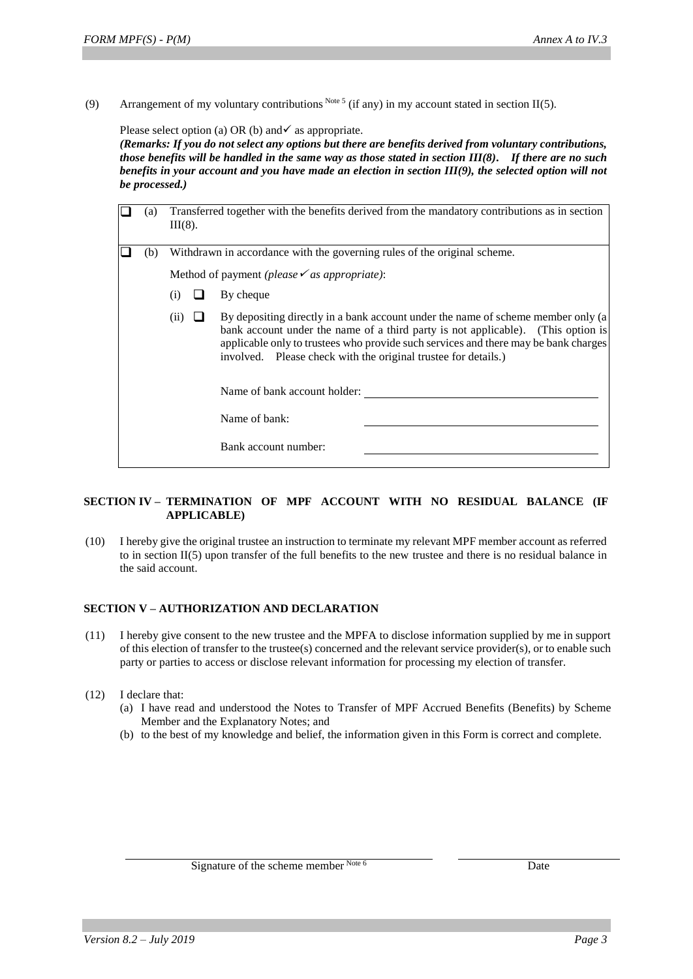(9) Arrangement of my voluntary contributions Note 5 (if any) in my account stated in section II(5).

Please select option (a) OR (b) and  $\checkmark$  as appropriate.

*(Remarks: If you do not select any options but there are benefits derived from voluntary contributions, those benefits will be handled in the same way as those stated in section III(8). If there are no such benefits in your account and you have made an election in section III(9), the selected option will not be processed.)*

| (a) | $III(8)$ .                                                               |  | Transferred together with the benefits derived from the mandatory contributions as in section                                                                                                                                                                                                                                                                                                           |
|-----|--------------------------------------------------------------------------|--|---------------------------------------------------------------------------------------------------------------------------------------------------------------------------------------------------------------------------------------------------------------------------------------------------------------------------------------------------------------------------------------------------------|
| (b) | Withdrawn in accordance with the governing rules of the original scheme. |  |                                                                                                                                                                                                                                                                                                                                                                                                         |
|     |                                                                          |  | Method of payment (please $\checkmark$ as appropriate):                                                                                                                                                                                                                                                                                                                                                 |
|     | (i)                                                                      |  | By cheque                                                                                                                                                                                                                                                                                                                                                                                               |
|     | (11)                                                                     |  | By depositing directly in a bank account under the name of scheme member only (a)<br>bank account under the name of a third party is not applicable). (This option is<br>applicable only to trustees who provide such services and there may be bank charges<br>involved. Please check with the original trustee for details.)<br>Name of bank account holder:<br>Name of bank:<br>Bank account number: |

### **SECTION IV – TERMINATION OF MPF ACCOUNT WITH NO RESIDUAL BALANCE (IF APPLICABLE)**

(10) I hereby give the original trustee an instruction to terminate my relevant MPF member account as referred to in section II(5) upon transfer of the full benefits to the new trustee and there is no residual balance in the said account.

### **SECTION V – AUTHORIZATION AND DECLARATION**

- (11) I hereby give consent to the new trustee and the MPFA to disclose information supplied by me in support of this election of transfer to the trustee(s) concerned and the relevant service provider(s), or to enable such party or parties to access or disclose relevant information for processing my election of transfer.
- (12) I declare that:
	- (a) I have read and understood the Notes to Transfer of MPF Accrued Benefits (Benefits) by Scheme Member and the Explanatory Notes; and
	- (b) to the best of my knowledge and belief, the information given in this Form is correct and complete.

Signature of the scheme member Note 6 Date